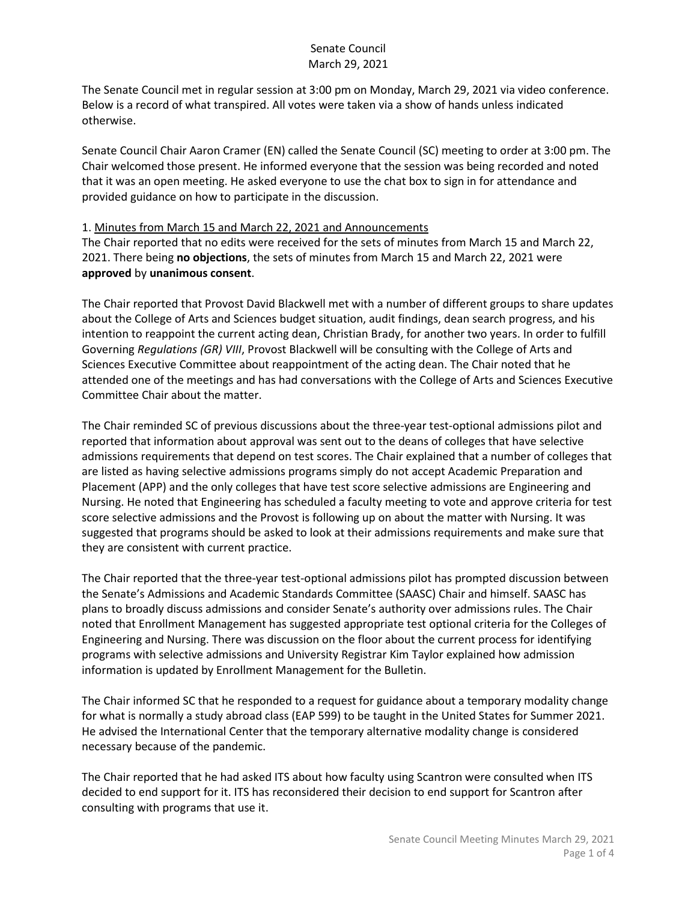The Senate Council met in regular session at 3:00 pm on Monday, March 29, 2021 via video conference. Below is a record of what transpired. All votes were taken via a show of hands unless indicated otherwise.

Senate Council Chair Aaron Cramer (EN) called the Senate Council (SC) meeting to order at 3:00 pm. The Chair welcomed those present. He informed everyone that the session was being recorded and noted that it was an open meeting. He asked everyone to use the chat box to sign in for attendance and provided guidance on how to participate in the discussion.

#### 1. Minutes from March 15 and March 22, 2021 and Announcements

The Chair reported that no edits were received for the sets of minutes from March 15 and March 22, 2021. There being **no objections**, the sets of minutes from March 15 and March 22, 2021 were **approved** by **unanimous consent**.

The Chair reported that Provost David Blackwell met with a number of different groups to share updates about the College of Arts and Sciences budget situation, audit findings, dean search progress, and his intention to reappoint the current acting dean, Christian Brady, for another two years. In order to fulfill Governing *Regulations (GR) VIII*, Provost Blackwell will be consulting with the College of Arts and Sciences Executive Committee about reappointment of the acting dean. The Chair noted that he attended one of the meetings and has had conversations with the College of Arts and Sciences Executive Committee Chair about the matter.

The Chair reminded SC of previous discussions about the three-year test-optional admissions pilot and reported that information about approval was sent out to the deans of colleges that have selective admissions requirements that depend on test scores. The Chair explained that a number of colleges that are listed as having selective admissions programs simply do not accept Academic Preparation and Placement (APP) and the only colleges that have test score selective admissions are Engineering and Nursing. He noted that Engineering has scheduled a faculty meeting to vote and approve criteria for test score selective admissions and the Provost is following up on about the matter with Nursing. It was suggested that programs should be asked to look at their admissions requirements and make sure that they are consistent with current practice.

The Chair reported that the three-year test-optional admissions pilot has prompted discussion between the Senate's Admissions and Academic Standards Committee (SAASC) Chair and himself. SAASC has plans to broadly discuss admissions and consider Senate's authority over admissions rules. The Chair noted that Enrollment Management has suggested appropriate test optional criteria for the Colleges of Engineering and Nursing. There was discussion on the floor about the current process for identifying programs with selective admissions and University Registrar Kim Taylor explained how admission information is updated by Enrollment Management for the Bulletin.

The Chair informed SC that he responded to a request for guidance about a temporary modality change for what is normally a study abroad class (EAP 599) to be taught in the United States for Summer 2021. He advised the International Center that the temporary alternative modality change is considered necessary because of the pandemic.

The Chair reported that he had asked ITS about how faculty using Scantron were consulted when ITS decided to end support for it. ITS has reconsidered their decision to end support for Scantron after consulting with programs that use it.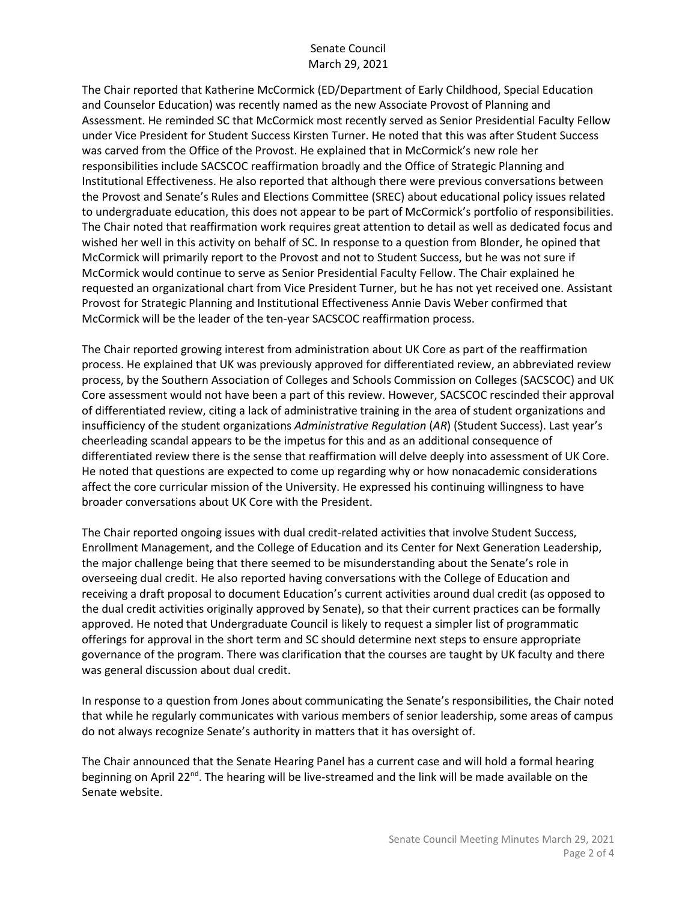The Chair reported that Katherine McCormick (ED/Department of Early Childhood, Special Education and Counselor Education) was recently named as the new Associate Provost of Planning and Assessment. He reminded SC that McCormick most recently served as Senior Presidential Faculty Fellow under Vice President for Student Success Kirsten Turner. He noted that this was after Student Success was carved from the Office of the Provost. He explained that in McCormick's new role her responsibilities include SACSCOC reaffirmation broadly and the Office of Strategic Planning and Institutional Effectiveness. He also reported that although there were previous conversations between the Provost and Senate's Rules and Elections Committee (SREC) about educational policy issues related to undergraduate education, this does not appear to be part of McCormick's portfolio of responsibilities. The Chair noted that reaffirmation work requires great attention to detail as well as dedicated focus and wished her well in this activity on behalf of SC. In response to a question from Blonder, he opined that McCormick will primarily report to the Provost and not to Student Success, but he was not sure if McCormick would continue to serve as Senior Presidential Faculty Fellow. The Chair explained he requested an organizational chart from Vice President Turner, but he has not yet received one. Assistant Provost for Strategic Planning and Institutional Effectiveness Annie Davis Weber confirmed that McCormick will be the leader of the ten-year SACSCOC reaffirmation process.

The Chair reported growing interest from administration about UK Core as part of the reaffirmation process. He explained that UK was previously approved for differentiated review, an abbreviated review process, by the Southern Association of Colleges and Schools Commission on Colleges (SACSCOC) and UK Core assessment would not have been a part of this review. However, SACSCOC rescinded their approval of differentiated review, citing a lack of administrative training in the area of student organizations and insufficiency of the student organizations *Administrative Regulation* (*AR*) (Student Success). Last year's cheerleading scandal appears to be the impetus for this and as an additional consequence of differentiated review there is the sense that reaffirmation will delve deeply into assessment of UK Core. He noted that questions are expected to come up regarding why or how nonacademic considerations affect the core curricular mission of the University. He expressed his continuing willingness to have broader conversations about UK Core with the President.

The Chair reported ongoing issues with dual credit-related activities that involve Student Success, Enrollment Management, and the College of Education and its Center for Next Generation Leadership, the major challenge being that there seemed to be misunderstanding about the Senate's role in overseeing dual credit. He also reported having conversations with the College of Education and receiving a draft proposal to document Education's current activities around dual credit (as opposed to the dual credit activities originally approved by Senate), so that their current practices can be formally approved. He noted that Undergraduate Council is likely to request a simpler list of programmatic offerings for approval in the short term and SC should determine next steps to ensure appropriate governance of the program. There was clarification that the courses are taught by UK faculty and there was general discussion about dual credit.

In response to a question from Jones about communicating the Senate's responsibilities, the Chair noted that while he regularly communicates with various members of senior leadership, some areas of campus do not always recognize Senate's authority in matters that it has oversight of.

The Chair announced that the Senate Hearing Panel has a current case and will hold a formal hearing beginning on April 22<sup>nd</sup>. The hearing will be live-streamed and the link will be made available on the Senate website.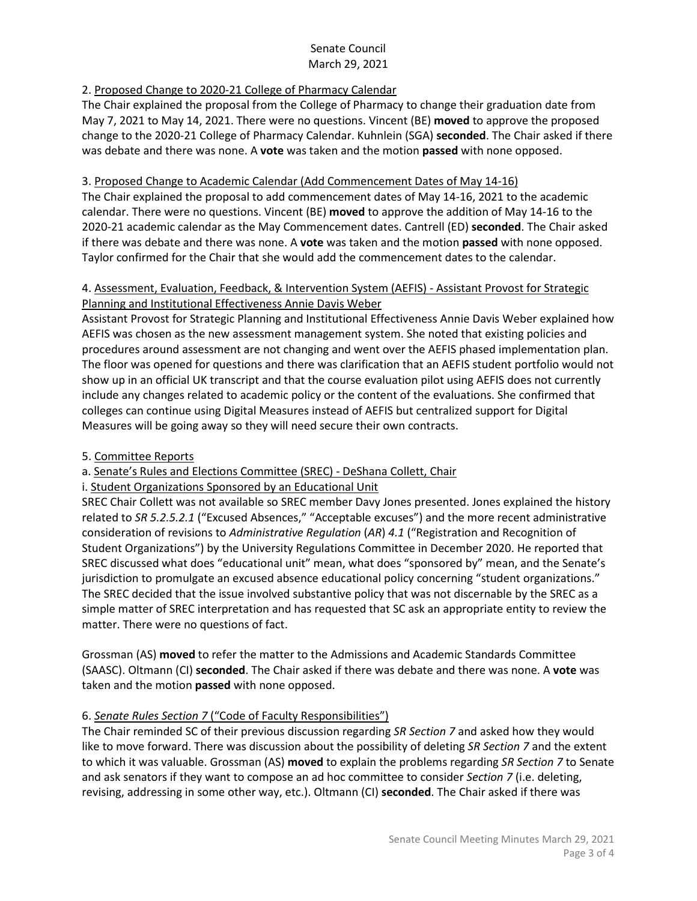# 2. Proposed Change to 2020-21 College of Pharmacy Calendar

The Chair explained the proposal from the College of Pharmacy to change their graduation date from May 7, 2021 to May 14, 2021. There were no questions. Vincent (BE) **moved** to approve the proposed change to the 2020-21 College of Pharmacy Calendar. Kuhnlein (SGA) **seconded**. The Chair asked if there was debate and there was none. A **vote** was taken and the motion **passed** with none opposed.

## 3. Proposed Change to Academic Calendar (Add Commencement Dates of May 14-16)

The Chair explained the proposal to add commencement dates of May 14-16, 2021 to the academic calendar. There were no questions. Vincent (BE) **moved** to approve the addition of May 14-16 to the 2020-21 academic calendar as the May Commencement dates. Cantrell (ED) **seconded**. The Chair asked if there was debate and there was none. A **vote** was taken and the motion **passed** with none opposed. Taylor confirmed for the Chair that she would add the commencement dates to the calendar.

#### 4. Assessment, Evaluation, Feedback, & Intervention System (AEFIS) - Assistant Provost for Strategic Planning and Institutional Effectiveness Annie Davis Weber

Assistant Provost for Strategic Planning and Institutional Effectiveness Annie Davis Weber explained how AEFIS was chosen as the new assessment management system. She noted that existing policies and procedures around assessment are not changing and went over the AEFIS phased implementation plan. The floor was opened for questions and there was clarification that an AEFIS student portfolio would not show up in an official UK transcript and that the course evaluation pilot using AEFIS does not currently include any changes related to academic policy or the content of the evaluations. She confirmed that colleges can continue using Digital Measures instead of AEFIS but centralized support for Digital Measures will be going away so they will need secure their own contracts.

## 5. Committee Reports

a. Senate's Rules and Elections Committee (SREC) - DeShana Collett, Chair

i. Student Organizations Sponsored by an Educational Unit

SREC Chair Collett was not available so SREC member Davy Jones presented. Jones explained the history related to *SR 5.2.5.2.1* ("Excused Absences," "Acceptable excuses") and the more recent administrative consideration of revisions to *Administrative Regulation* (*AR*) *4.1* ("Registration and Recognition of Student Organizations") by the University Regulations Committee in December 2020. He reported that SREC discussed what does "educational unit" mean, what does "sponsored by" mean, and the Senate's jurisdiction to promulgate an excused absence educational policy concerning "student organizations." The SREC decided that the issue involved substantive policy that was not discernable by the SREC as a simple matter of SREC interpretation and has requested that SC ask an appropriate entity to review the matter. There were no questions of fact.

Grossman (AS) **moved** to refer the matter to the Admissions and Academic Standards Committee (SAASC). Oltmann (CI) **seconded**. The Chair asked if there was debate and there was none. A **vote** was taken and the motion **passed** with none opposed.

## 6. *Senate Rules Section 7* ("Code of Faculty Responsibilities")

The Chair reminded SC of their previous discussion regarding *SR Section 7* and asked how they would like to move forward. There was discussion about the possibility of deleting *SR Section 7* and the extent to which it was valuable. Grossman (AS) **moved** to explain the problems regarding *SR Section 7* to Senate and ask senators if they want to compose an ad hoc committee to consider *Section 7* (i.e. deleting, revising, addressing in some other way, etc.). Oltmann (CI) **seconded**. The Chair asked if there was